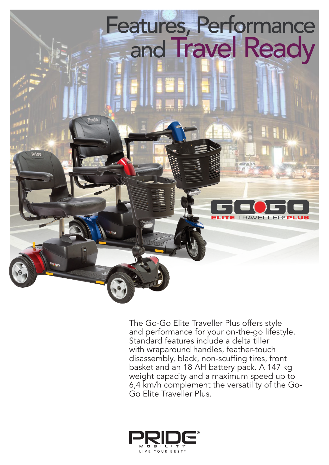

The Go-Go Elite Traveller Plus offers style and performance for your on-the-go lifestyle. Standard features include a delta tiller with wraparound handles, feather-touch disassembly, black, non-scuffing tires, front basket and an 18 AH battery pack. A 147 kg weight capacity and a maximum speed up to 6,4 km/h complement the versatility of the Go-Go Elite Traveller Plus.